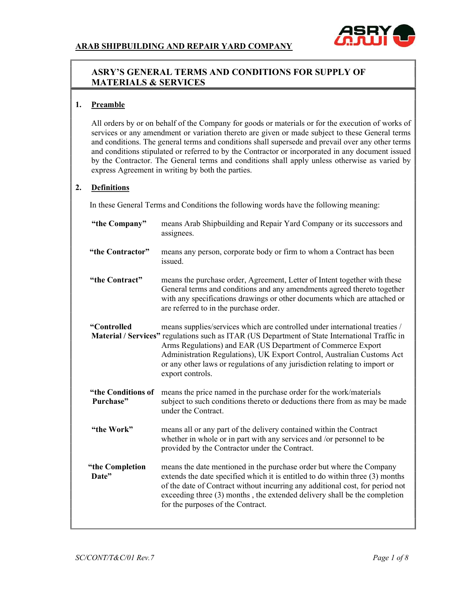

# ASRY'S GENERAL TERMS AND CONDITIONS FOR SUPPLY OF MATERIALS & SERVICES

#### 1. Preamble

 All orders by or on behalf of the Company for goods or materials or for the execution of works of services or any amendment or variation thereto are given or made subject to these General terms and conditions. The general terms and conditions shall supersede and prevail over any other terms and conditions stipulated or referred to by the Contractor or incorporated in any document issued by the Contractor. The General terms and conditions shall apply unless otherwise as varied by express Agreement in writing by both the parties.

## 2. Definitions

In these General Terms and Conditions the following words have the following meaning:

| "the Company"                   | means Arab Shipbuilding and Repair Yard Company or its successors and<br>assignees.                                                                                                                                                                                                                                                                                                                                      |
|---------------------------------|--------------------------------------------------------------------------------------------------------------------------------------------------------------------------------------------------------------------------------------------------------------------------------------------------------------------------------------------------------------------------------------------------------------------------|
| "the Contractor"                | means any person, corporate body or firm to whom a Contract has been<br>issued.                                                                                                                                                                                                                                                                                                                                          |
| "the Contract"                  | means the purchase order, Agreement, Letter of Intent together with these<br>General terms and conditions and any amendments agreed thereto together<br>with any specifications drawings or other documents which are attached or<br>are referred to in the purchase order.                                                                                                                                              |
| "Controlled                     | means supplies/services which are controlled under international treaties /<br>Material / Services" regulations such as ITAR (US Department of State International Traffic in<br>Arms Regulations) and EAR (US Department of Commerce Export<br>Administration Regulations), UK Export Control, Australian Customs Act<br>or any other laws or regulations of any jurisdiction relating to import or<br>export controls. |
| "the Conditions of<br>Purchase" | means the price named in the purchase order for the work/materials<br>subject to such conditions thereto or deductions there from as may be made<br>under the Contract.                                                                                                                                                                                                                                                  |
| "the Work"                      | means all or any part of the delivery contained within the Contract<br>whether in whole or in part with any services and /or personnel to be<br>provided by the Contractor under the Contract.                                                                                                                                                                                                                           |
| "the Completion<br>Date"        | means the date mentioned in the purchase order but where the Company<br>extends the date specified which it is entitled to do within three (3) months<br>of the date of Contract without incurring any additional cost, for period not<br>exceeding three (3) months, the extended delivery shall be the completion<br>for the purposes of the Contract.                                                                 |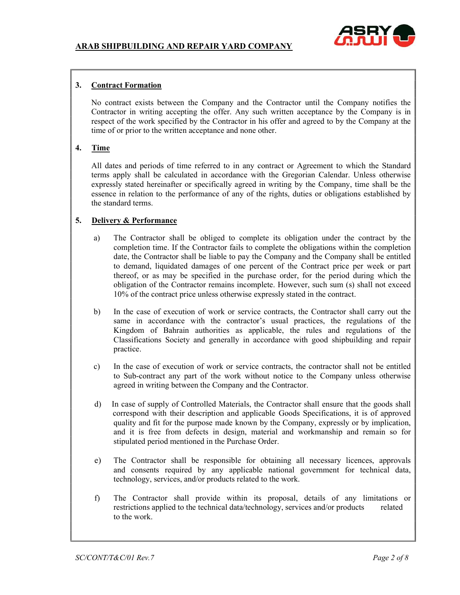

# 3. Contract Formation

 No contract exists between the Company and the Contractor until the Company notifies the Contractor in writing accepting the offer. Any such written acceptance by the Company is in respect of the work specified by the Contractor in his offer and agreed to by the Company at the time of or prior to the written acceptance and none other.

## 4. Time

 All dates and periods of time referred to in any contract or Agreement to which the Standard terms apply shall be calculated in accordance with the Gregorian Calendar. Unless otherwise expressly stated hereinafter or specifically agreed in writing by the Company, time shall be the essence in relation to the performance of any of the rights, duties or obligations established by the standard terms.

## 5. Delivery & Performance

- a) The Contractor shall be obliged to complete its obligation under the contract by the completion time. If the Contractor fails to complete the obligations within the completion date, the Contractor shall be liable to pay the Company and the Company shall be entitled to demand, liquidated damages of one percent of the Contract price per week or part thereof, or as may be specified in the purchase order, for the period during which the obligation of the Contractor remains incomplete. However, such sum (s) shall not exceed 10% of the contract price unless otherwise expressly stated in the contract.
- b) In the case of execution of work or service contracts, the Contractor shall carry out the same in accordance with the contractor's usual practices, the regulations of the Kingdom of Bahrain authorities as applicable, the rules and regulations of the Classifications Society and generally in accordance with good shipbuilding and repair practice.
- c) In the case of execution of work or service contracts, the contractor shall not be entitled to Sub-contract any part of the work without notice to the Company unless otherwise agreed in writing between the Company and the Contractor.
- d) In case of supply of Controlled Materials, the Contractor shall ensure that the goods shall correspond with their description and applicable Goods Specifications, it is of approved quality and fit for the purpose made known by the Company, expressly or by implication, and it is free from defects in design, material and workmanship and remain so for stipulated period mentioned in the Purchase Order.
- e) The Contractor shall be responsible for obtaining all necessary licences, approvals and consents required by any applicable national government for technical data, technology, services, and/or products related to the work.
- f) The Contractor shall provide within its proposal, details of any limitations or restrictions applied to the technical data/technology, services and/or products related to the work.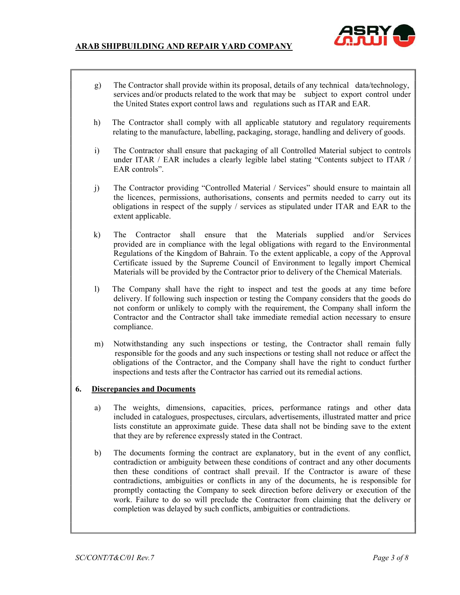

- g) The Contractor shall provide within its proposal, details of any technical data/technology, services and/or products related to the work that may be subject to export control under the United States export control laws and regulations such as ITAR and EAR.
- h) The Contractor shall comply with all applicable statutory and regulatory requirements relating to the manufacture, labelling, packaging, storage, handling and delivery of goods.
- i) The Contractor shall ensure that packaging of all Controlled Material subject to controls under ITAR / EAR includes a clearly legible label stating "Contents subject to ITAR / EAR controls".
- j) The Contractor providing "Controlled Material / Services" should ensure to maintain all the licences, permissions, authorisations, consents and permits needed to carry out its obligations in respect of the supply / services as stipulated under ITAR and EAR to the extent applicable.
- k) The Contractor shall ensure that the Materials supplied and/or Services provided are in compliance with the legal obligations with regard to the Environmental Regulations of the Kingdom of Bahrain. To the extent applicable, a copy of the Approval Certificate issued by the Supreme Council of Environment to legally import Chemical Materials will be provided by the Contractor prior to delivery of the Chemical Materials.
- l) The Company shall have the right to inspect and test the goods at any time before delivery. If following such inspection or testing the Company considers that the goods do not conform or unlikely to comply with the requirement, the Company shall inform the Contractor and the Contractor shall take immediate remedial action necessary to ensure compliance.
- m) Notwithstanding any such inspections or testing, the Contractor shall remain fully responsible for the goods and any such inspections or testing shall not reduce or affect the obligations of the Contractor, and the Company shall have the right to conduct further inspections and tests after the Contractor has carried out its remedial actions.

#### 6. Discrepancies and Documents

- a) The weights, dimensions, capacities, prices, performance ratings and other data included in catalogues, prospectuses, circulars, advertisements, illustrated matter and price lists constitute an approximate guide. These data shall not be binding save to the extent that they are by reference expressly stated in the Contract.
- b) The documents forming the contract are explanatory, but in the event of any conflict, contradiction or ambiguity between these conditions of contract and any other documents then these conditions of contract shall prevail. If the Contractor is aware of these contradictions, ambiguities or conflicts in any of the documents, he is responsible for promptly contacting the Company to seek direction before delivery or execution of the work. Failure to do so will preclude the Contractor from claiming that the delivery or completion was delayed by such conflicts, ambiguities or contradictions.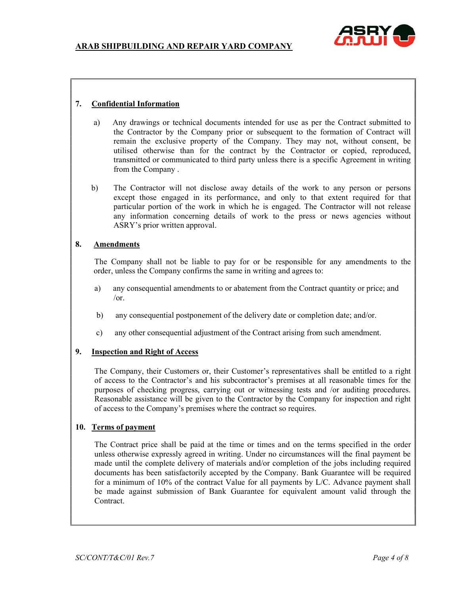

## 7. Confidential Information

- a) Any drawings or technical documents intended for use as per the Contract submitted to the Contractor by the Company prior or subsequent to the formation of Contract will remain the exclusive property of the Company. They may not, without consent, be utilised otherwise than for the contract by the Contractor or copied, reproduced, transmitted or communicated to third party unless there is a specific Agreement in writing from the Company .
- b) The Contractor will not disclose away details of the work to any person or persons except those engaged in its performance, and only to that extent required for that particular portion of the work in which he is engaged. The Contractor will not release any information concerning details of work to the press or news agencies without ASRY's prior written approval.

## 8. Amendments

 The Company shall not be liable to pay for or be responsible for any amendments to the order, unless the Company confirms the same in writing and agrees to:

- a) any consequential amendments to or abatement from the Contract quantity or price; and  $/$ or.
- b) any consequential postponement of the delivery date or completion date; and/or.
- c) any other consequential adjustment of the Contract arising from such amendment.

## 9. Inspection and Right of Access

 The Company, their Customers or, their Customer's representatives shall be entitled to a right of access to the Contractor's and his subcontractor's premises at all reasonable times for the purposes of checking progress, carrying out or witnessing tests and /or auditing procedures. Reasonable assistance will be given to the Contractor by the Company for inspection and right of access to the Company's premises where the contract so requires.

#### 10. Terms of payment

 The Contract price shall be paid at the time or times and on the terms specified in the order unless otherwise expressly agreed in writing. Under no circumstances will the final payment be made until the complete delivery of materials and/or completion of the jobs including required documents has been satisfactorily accepted by the Company. Bank Guarantee will be required for a minimum of 10% of the contract Value for all payments by L/C. Advance payment shall be made against submission of Bank Guarantee for equivalent amount valid through the Contract.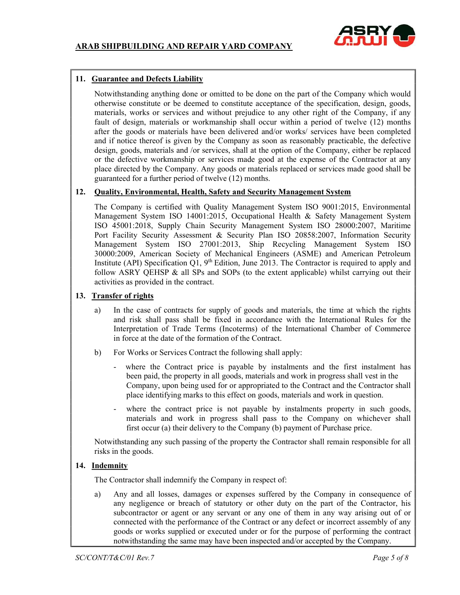

## 11. Guarantee and Defects Liability

Notwithstanding anything done or omitted to be done on the part of the Company which would otherwise constitute or be deemed to constitute acceptance of the specification, design, goods, materials, works or services and without prejudice to any other right of the Company, if any fault of design, materials or workmanship shall occur within a period of twelve (12) months after the goods or materials have been delivered and/or works/ services have been completed and if notice thereof is given by the Company as soon as reasonably practicable, the defective design, goods, materials and /or services, shall at the option of the Company, either be replaced or the defective workmanship or services made good at the expense of the Contractor at any place directed by the Company. Any goods or materials replaced or services made good shall be guaranteed for a further period of twelve (12) months.

#### 12. Quality, Environmental, Health, Safety and Security Management System

 The Company is certified with Quality Management System ISO 9001:2015, Environmental Management System ISO 14001:2015, Occupational Health & Safety Management System ISO 45001:2018, Supply Chain Security Management System ISO 28000:2007, Maritime Port Facility Security Assessment & Security Plan ISO 20858:2007, Information Security Management System ISO 27001:2013, Ship Recycling Management System ISO 30000:2009, American Society of Mechanical Engineers (ASME) and American Petroleum Institute (API) Specification  $Q1$ ,  $9<sup>th</sup>$  Edition, June 2013. The Contractor is required to apply and follow ASRY QEHSP & all SPs and SOPs (to the extent applicable) whilst carrying out their activities as provided in the contract.

#### 13. Transfer of rights

- a) In the case of contracts for supply of goods and materials, the time at which the rights and risk shall pass shall be fixed in accordance with the International Rules for the Interpretation of Trade Terms (Incoterms) of the International Chamber of Commerce in force at the date of the formation of the Contract.
- b) For Works or Services Contract the following shall apply:
	- where the Contract price is payable by instalments and the first instalment has been paid, the property in all goods, materials and work in progress shall vest in the Company, upon being used for or appropriated to the Contract and the Contractor shall place identifying marks to this effect on goods, materials and work in question.
	- where the contract price is not payable by instalments property in such goods, materials and work in progress shall pass to the Company on whichever shall first occur (a) their delivery to the Company (b) payment of Purchase price.

 Notwithstanding any such passing of the property the Contractor shall remain responsible for all risks in the goods.

#### 14. Indemnity

The Contractor shall indemnify the Company in respect of:

 a) Any and all losses, damages or expenses suffered by the Company in consequence of any negligence or breach of statutory or other duty on the part of the Contractor, his subcontractor or agent or any servant or any one of them in any way arising out of or connected with the performance of the Contract or any defect or incorrect assembly of any goods or works supplied or executed under or for the purpose of performing the contract notwithstanding the same may have been inspected and/or accepted by the Company.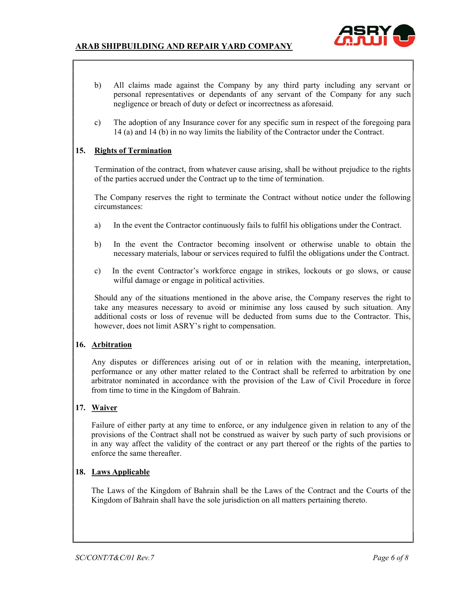

- b) All claims made against the Company by any third party including any servant or personal representatives or dependants of any servant of the Company for any such negligence or breach of duty or defect or incorrectness as aforesaid.
- c) The adoption of any Insurance cover for any specific sum in respect of the foregoing para 14 (a) and 14 (b) in no way limits the liability of the Contractor under the Contract.

## 15. Rights of Termination

 Termination of the contract, from whatever cause arising, shall be without prejudice to the rights of the parties accrued under the Contract up to the time of termination.

 The Company reserves the right to terminate the Contract without notice under the following circumstances:

- a) In the event the Contractor continuously fails to fulfil his obligations under the Contract.
- b) In the event the Contractor becoming insolvent or otherwise unable to obtain the necessary materials, labour or services required to fulfil the obligations under the Contract.
- c) In the event Contractor's workforce engage in strikes, lockouts or go slows, or cause wilful damage or engage in political activities.

 Should any of the situations mentioned in the above arise, the Company reserves the right to take any measures necessary to avoid or minimise any loss caused by such situation. Any additional costs or loss of revenue will be deducted from sums due to the Contractor. This, however, does not limit ASRY's right to compensation.

#### 16. Arbitration

 Any disputes or differences arising out of or in relation with the meaning, interpretation, performance or any other matter related to the Contract shall be referred to arbitration by one arbitrator nominated in accordance with the provision of the Law of Civil Procedure in force from time to time in the Kingdom of Bahrain.

## 17. Waiver

 Failure of either party at any time to enforce, or any indulgence given in relation to any of the provisions of the Contract shall not be construed as waiver by such party of such provisions or in any way affect the validity of the contract or any part thereof or the rights of the parties to enforce the same thereafter.

#### 18. Laws Applicable

 The Laws of the Kingdom of Bahrain shall be the Laws of the Contract and the Courts of the Kingdom of Bahrain shall have the sole jurisdiction on all matters pertaining thereto.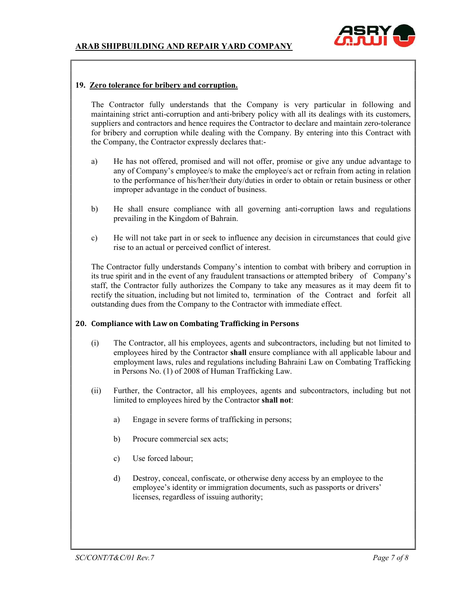

#### 19. Zero tolerance for bribery and corruption.

 The Contractor fully understands that the Company is very particular in following and maintaining strict anti-corruption and anti-bribery policy with all its dealings with its customers, suppliers and contractors and hence requires the Contractor to declare and maintain zero-tolerance for bribery and corruption while dealing with the Company. By entering into this Contract with the Company, the Contractor expressly declares that:-

- a) He has not offered, promised and will not offer, promise or give any undue advantage to any of Company's employee/s to make the employee/s act or refrain from acting in relation to the performance of his/her/their duty/duties in order to obtain or retain business or other improper advantage in the conduct of business.
- b) He shall ensure compliance with all governing anti-corruption laws and regulations prevailing in the Kingdom of Bahrain.
- c) He will not take part in or seek to influence any decision in circumstances that could give rise to an actual or perceived conflict of interest.

 The Contractor fully understands Company's intention to combat with bribery and corruption in its true spirit and in the event of any fraudulent transactions or attempted bribery of Company's staff, the Contractor fully authorizes the Company to take any measures as it may deem fit to rectify the situation, including but not limited to, termination of the Contract and forfeit all outstanding dues from the Company to the Contractor with immediate effect.

#### 20. Compliance with Law on Combating Trafficking in Persons

- (i) The Contractor, all his employees, agents and subcontractors, including but not limited to employees hired by the Contractor shall ensure compliance with all applicable labour and employment laws, rules and regulations including Bahraini Law on Combating Trafficking in Persons No. (1) of 2008 of Human Trafficking Law.
- (ii) Further, the Contractor, all his employees, agents and subcontractors, including but not limited to employees hired by the Contractor shall not:
	- a) Engage in severe forms of trafficking in persons;
	- b) Procure commercial sex acts;
	- c) Use forced labour;
	- d) Destroy, conceal, confiscate, or otherwise deny access by an employee to the employee's identity or immigration documents, such as passports or drivers' licenses, regardless of issuing authority;